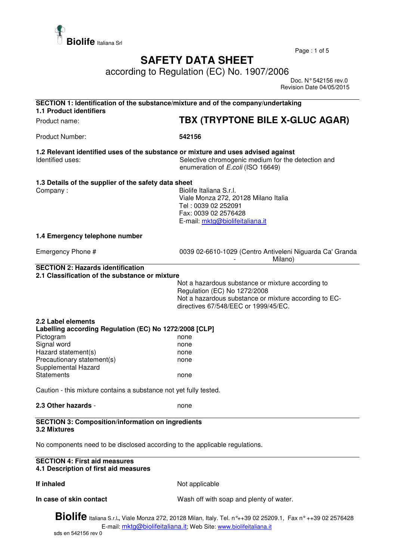

Page : 1 of 5

## **SAFETY DATA SHEET**

according to Regulation (EC) No. 1907/2006

 Doc. N° 542156 rev.0 Revision Date 04/05/2015

| SECTION 1: Identification of the substance/mixture and of the company/undertaking<br><b>1.1 Product identifiers</b> |                                                                                                                                                                                    |  |
|---------------------------------------------------------------------------------------------------------------------|------------------------------------------------------------------------------------------------------------------------------------------------------------------------------------|--|
| Product name:                                                                                                       | TBX (TRYPTONE BILE X-GLUC AGAR)                                                                                                                                                    |  |
| Product Number:                                                                                                     | 542156                                                                                                                                                                             |  |
| 1.2 Relevant identified uses of the substance or mixture and uses advised against<br>Identified uses:               | Selective chromogenic medium for the detection and<br>enumeration of E.coli (ISO 16649)                                                                                            |  |
| 1.3 Details of the supplier of the safety data sheet<br>Company:                                                    | Biolife Italiana S.r.l.<br>Viale Monza 272, 20128 Milano Italia<br>Tel: 0039 02 252091<br>Fax: 0039 02 2576428<br>E-mail: mktg@biolifeitaliana.it                                  |  |
| 1.4 Emergency telephone number                                                                                      |                                                                                                                                                                                    |  |
| Emergency Phone #                                                                                                   | 0039 02-6610-1029 (Centro Antiveleni Niguarda Ca' Granda<br>Milano)                                                                                                                |  |
| <b>SECTION 2: Hazards identification</b><br>2.1 Classification of the substance or mixture                          | Not a hazardous substance or mixture according to<br>Regulation (EC) No 1272/2008<br>Not a hazardous substance or mixture according to EC-<br>directives 67/548/EEC or 1999/45/EC. |  |
| 2.2 Label elements<br>Labelling according Regulation (EC) No 1272/2008 [CLP]                                        |                                                                                                                                                                                    |  |
| Pictogram                                                                                                           | none                                                                                                                                                                               |  |
| Signal word                                                                                                         | none                                                                                                                                                                               |  |
| Hazard statement(s)<br>Precautionary statement(s)                                                                   | none                                                                                                                                                                               |  |
| Supplemental Hazard                                                                                                 | none                                                                                                                                                                               |  |
| <b>Statements</b>                                                                                                   | none                                                                                                                                                                               |  |
| Caution - this mixture contains a substance not yet fully tested.                                                   |                                                                                                                                                                                    |  |
| 2.3 Other hazards -                                                                                                 | none                                                                                                                                                                               |  |
| <b>SECTION 3: Composition/information on ingredients</b><br>3.2 Mixtures                                            |                                                                                                                                                                                    |  |
| No components need to be disclosed according to the applicable regulations.                                         |                                                                                                                                                                                    |  |
| <b>SECTION 4: First aid measures</b><br>4.1 Description of first aid measures                                       |                                                                                                                                                                                    |  |
| If inhaled                                                                                                          | Not applicable                                                                                                                                                                     |  |
| In case of skin contact                                                                                             | Wash off with soap and plenty of water.                                                                                                                                            |  |
| Dialifa                                                                                                             |                                                                                                                                                                                    |  |

**Biolife** Italiana S.r.l**.,** Viale Monza 272, 20128 Milan, Italy. Tel. n°++39 02 25209.1, Fax n° ++39 02 2576428 E-mail: mktg@biolifeitaliana.it; Web Site: www.biolifeitaliana.it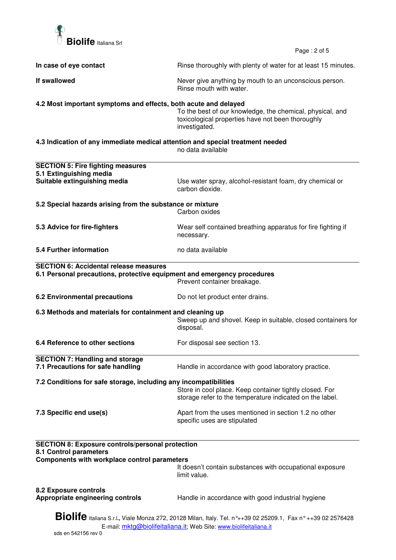

Page : 2 of 5

| In case of eye contact                                                                                                                                                                   | Rinse thoroughly with plenty of water for at least 15 minutes.                                                                  |  |  |  |
|------------------------------------------------------------------------------------------------------------------------------------------------------------------------------------------|---------------------------------------------------------------------------------------------------------------------------------|--|--|--|
| If swallowed                                                                                                                                                                             | Never give anything by mouth to an unconscious person.<br>Rinse mouth with water.                                               |  |  |  |
| 4.2 Most important symptoms and effects, both acute and delayed                                                                                                                          | To the best of our knowledge, the chemical, physical, and<br>toxicological properties have not been thoroughly<br>investigated. |  |  |  |
| 4.3 Indication of any immediate medical attention and special treatment needed<br>no data available                                                                                      |                                                                                                                                 |  |  |  |
| <b>SECTION 5: Fire fighting measures</b><br>5.1 Extinguishing media<br>Suitable extinguishing media                                                                                      | Use water spray, alcohol-resistant foam, dry chemical or<br>carbon dioxide.                                                     |  |  |  |
| 5.2 Special hazards arising from the substance or mixture<br>Carbon oxides                                                                                                               |                                                                                                                                 |  |  |  |
| 5.3 Advice for fire-fighters                                                                                                                                                             | Wear self contained breathing apparatus for fire fighting if<br>necessary.                                                      |  |  |  |
| <b>5.4 Further information</b>                                                                                                                                                           | no data available                                                                                                               |  |  |  |
| <b>SECTION 6: Accidental release measures</b><br>6.1 Personal precautions, protective equipment and emergency procedures                                                                 | Prevent container breakage.                                                                                                     |  |  |  |
| <b>6.2 Environmental precautions</b>                                                                                                                                                     | Do not let product enter drains.                                                                                                |  |  |  |
| 6.3 Methods and materials for containment and cleaning up                                                                                                                                | Sweep up and shovel. Keep in suitable, closed containers for<br>disposal.                                                       |  |  |  |
| 6.4 Reference to other sections                                                                                                                                                          | For disposal see section 13.                                                                                                    |  |  |  |
| <b>SECTION 7: Handling and storage</b><br>7.1 Precautions for safe handling                                                                                                              | Handle in accordance with good laboratory practice.                                                                             |  |  |  |
| 7.2 Conditions for safe storage, including any incompatibilities                                                                                                                         | Store in cool place. Keep container tightly closed. For<br>storage refer to the temperature indicated on the label.             |  |  |  |
| 7.3 Specific end use(s)                                                                                                                                                                  | Apart from the uses mentioned in section 1.2 no other<br>specific uses are stipulated                                           |  |  |  |
| <b>SECTION 8: Exposure controls/personal protection</b><br>8.1 Control parameters                                                                                                        |                                                                                                                                 |  |  |  |
| Components with workplace control parameters                                                                                                                                             | It doesn't contain substances with occupational exposure<br>limit value.                                                        |  |  |  |
| 8.2 Exposure controls<br>Appropriate engineering controls                                                                                                                                | Handle in accordance with good industrial hygiene                                                                               |  |  |  |
| <b>Biolife</b> Italiana S.r.l., Viale Monza 272, 20128 Milan, Italy. Tel. n°++39 02 25209.1, Fax n° ++39 02 2576428<br>E-mail: mktg@biolifeitaliana.it; Web Site: www.biolifeitaliana.it |                                                                                                                                 |  |  |  |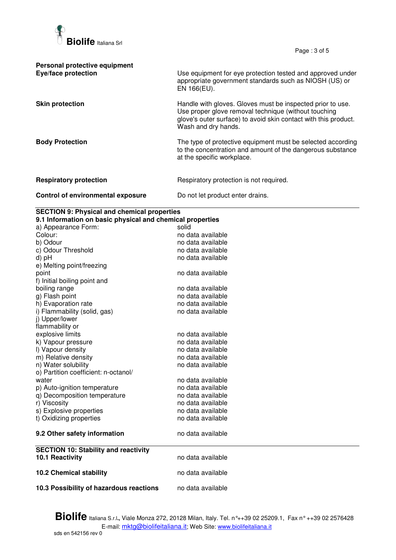

Page : 3 of 5

| Personal protective equipment<br>Eye/face protection | Use equipment for eye protection tested and approved under<br>appropriate government standards such as NIOSH (US) or<br>EN 166(EU).                                                                          |
|------------------------------------------------------|--------------------------------------------------------------------------------------------------------------------------------------------------------------------------------------------------------------|
| <b>Skin protection</b>                               | Handle with gloves. Gloves must be inspected prior to use.<br>Use proper glove removal technique (without touching<br>glove's outer surface) to avoid skin contact with this product.<br>Wash and dry hands. |
| <b>Body Protection</b>                               | The type of protective equipment must be selected according<br>to the concentration and amount of the dangerous substance<br>at the specific workplace.                                                      |
| <b>Respiratory protection</b>                        | Respiratory protection is not required.                                                                                                                                                                      |
| Control of environmental exposure                    | Do not let product enter drains.                                                                                                                                                                             |

## **SECTION 9: Physical and chemical properties**

| a) Appearance Form:                         | solid             |
|---------------------------------------------|-------------------|
| Colour:                                     | no data available |
| b) Odour                                    | no data available |
| c) Odour Threshold                          | no data available |
|                                             | no data available |
| e) Melting point/freezing                   |                   |
|                                             | no data available |
| f) Initial boiling point and                |                   |
| boiling range                               | no data available |
| g) Flash point                              | no data available |
| h) Evaporation rate                         | no data available |
| i) Flammability (solid, gas)                | no data available |
| j) Upper/lower                              |                   |
| flammability or                             |                   |
| explosive limits                            | no data available |
| k) Vapour pressure                          | no data available |
| I) Vapour density                           | no data available |
| m) Relative density                         | no data available |
| n) Water solubility                         | no data available |
| o) Partition coefficient: n-octanol/        |                   |
|                                             | no data available |
| p) Auto-ignition temperature                | no data available |
| q) Decomposition temperature                | no data available |
| r) Viscosity                                | no data available |
| s) Explosive properties                     | no data available |
| t) Oxidizing properties                     | no data available |
| 9.2 Other safety information                | no data available |
| <b>SECTION 10: Stability and reactivity</b> |                   |
| 10.1 Reactivity                             | no data available |
| <b>10.2 Chemical stability</b>              | no data available |
|                                             | no data available |
| 10.3 Possibility of hazardous reactions     |                   |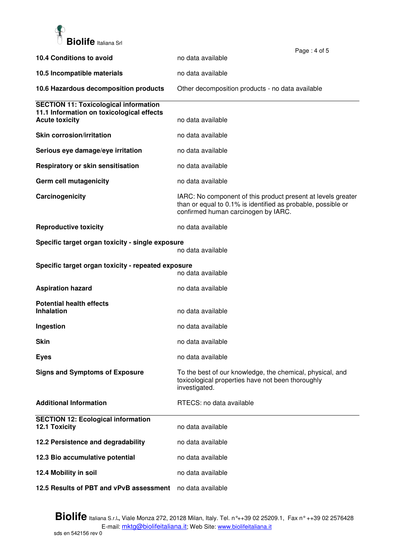

|                                                                    |                                                                                                                                                                     | Page: 4 of 5 |
|--------------------------------------------------------------------|---------------------------------------------------------------------------------------------------------------------------------------------------------------------|--------------|
| 10.4 Conditions to avoid                                           | no data available                                                                                                                                                   |              |
| 10.5 Incompatible materials                                        | no data available                                                                                                                                                   |              |
| 10.6 Hazardous decomposition products                              | Other decomposition products - no data available                                                                                                                    |              |
| <b>SECTION 11: Toxicological information</b>                       |                                                                                                                                                                     |              |
| 11.1 Information on toxicological effects<br><b>Acute toxicity</b> | no data available                                                                                                                                                   |              |
| <b>Skin corrosion/irritation</b>                                   | no data available                                                                                                                                                   |              |
| Serious eye damage/eye irritation                                  | no data available                                                                                                                                                   |              |
| <b>Respiratory or skin sensitisation</b>                           | no data available                                                                                                                                                   |              |
| Germ cell mutagenicity                                             | no data available                                                                                                                                                   |              |
| Carcinogenicity                                                    | IARC: No component of this product present at levels greater<br>than or equal to 0.1% is identified as probable, possible or<br>confirmed human carcinogen by IARC. |              |
| <b>Reproductive toxicity</b>                                       | no data available                                                                                                                                                   |              |
| Specific target organ toxicity - single exposure                   | no data available                                                                                                                                                   |              |
| Specific target organ toxicity - repeated exposure                 | no data available                                                                                                                                                   |              |
| <b>Aspiration hazard</b>                                           | no data available                                                                                                                                                   |              |
| <b>Potential health effects</b><br><b>Inhalation</b>               | no data available                                                                                                                                                   |              |
| Ingestion                                                          | no data available                                                                                                                                                   |              |
| <b>Skin</b>                                                        | no data available                                                                                                                                                   |              |
| <b>Eyes</b>                                                        | no data available                                                                                                                                                   |              |
| <b>Signs and Symptoms of Exposure</b>                              | To the best of our knowledge, the chemical, physical, and<br>toxicological properties have not been thoroughly<br>investigated.                                     |              |
| <b>Additional Information</b>                                      | RTECS: no data available                                                                                                                                            |              |
| <b>SECTION 12: Ecological information</b><br>12.1 Toxicity         | no data available                                                                                                                                                   |              |
| 12.2 Persistence and degradability                                 | no data available                                                                                                                                                   |              |
| 12.3 Bio accumulative potential                                    | no data available                                                                                                                                                   |              |
| 12.4 Mobility in soil                                              | no data available                                                                                                                                                   |              |
| 12.5 Results of PBT and vPvB assessment                            | no data available                                                                                                                                                   |              |